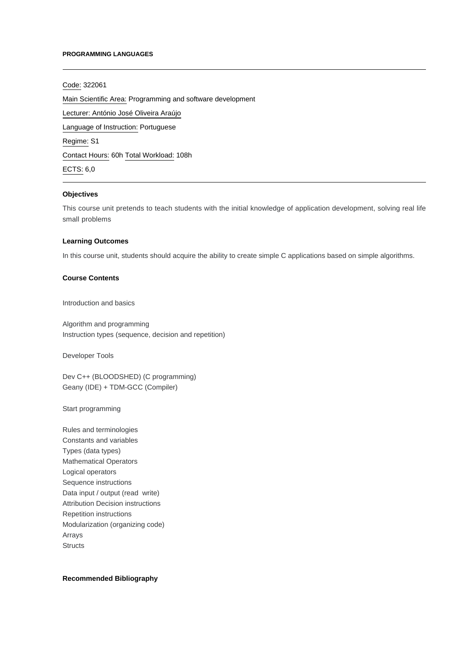#### **PROGRAMMING LANGUAGES**

#### Code: 322061

Main Scientific Area: Programming and software development

Lecturer: [António José Oliveira Araújo](mailto:aaraujo@ipca.pt)

Language of Instruction: Portuguese

Regime: S1

Contact Hours: 60h Total Workload: 108h

ECTS: 6,0

## **Objectives**

This course unit pretends to teach students with the initial knowledge of application development, solving real life small problems

## **Learning Outcomes**

In this course unit, students should acquire the ability to create simple C applications based on simple algorithms.

## **Course Contents**

Introduction and basics

Algorithm and programming Instruction types (sequence, decision and repetition)

Developer Tools

Dev C++ (BLOODSHED) (C programming) Geany (IDE) + TDM-GCC (Compiler)

Start programming

Rules and terminologies Constants and variables Types (data types) Mathematical Operators Logical operators Sequence instructions Data input / output (read write) Attribution Decision instructions Repetition instructions Modularization (organizing code) Arrays **Structs** 

# **Recommended Bibliography**